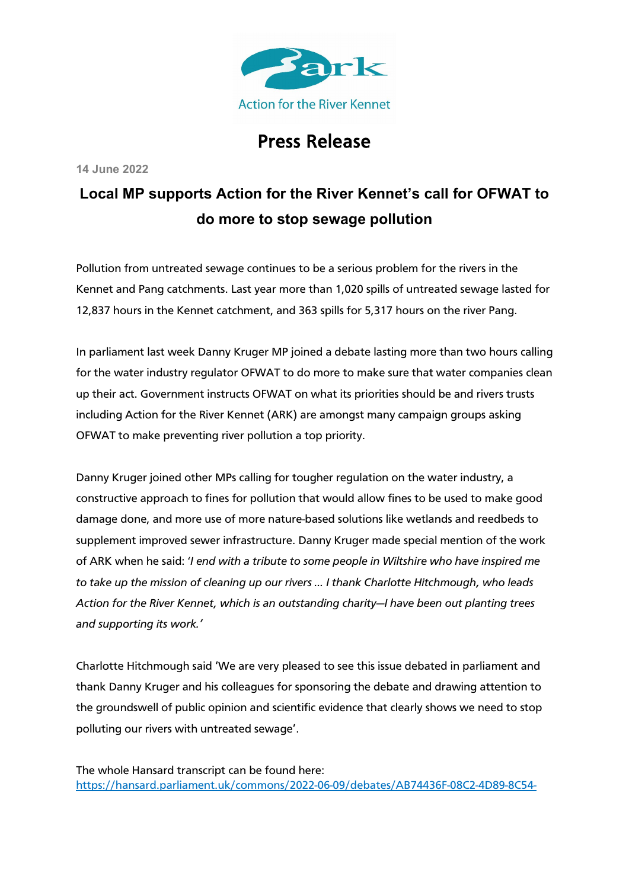

## Press Release

**14 June 2022**

## **Local MP supports Action for the River Kennet's call for OFWAT to do more to stop sewage pollution**

Pollution from untreated sewage continues to be a serious problem for the rivers in the Kennet and Pang catchments. Last year more than 1,020 spills of untreated sewage lasted for 12,837 hours in the Kennet catchment, and 363 spills for 5,317 hours on the river Pang.

In parliament last week Danny Kruger MP joined a debate lasting more than two hours calling for the water industry regulator OFWAT to do more to make sure that water companies clean up their act. Government instructs OFWAT on what its priorities should be and rivers trusts including Action for the River Kennet (ARK) are amongst many campaign groups asking OFWAT to make preventing river pollution a top priority.

Danny Kruger joined other MPs calling for tougher regulation on the water industry, a constructive approach to fines for pollution that would allow fines to be used to make good damage done, and more use of more nature-based solutions like wetlands and reedbeds to supplement improved sewer infrastructure. Danny Kruger made special mention of the work of ARK when he said: '*I end with a tribute to some people in Wiltshire who have inspired me to take up the mission of cleaning up our rivers … I thank Charlotte Hitchmough, who leads Action for the River Kennet, which is an outstanding charity—I have been out planting trees and supporting its work.'*

Charlotte Hitchmough said 'We are very pleased to see this issue debated in parliament and thank Danny Kruger and his colleagues for sponsoring the debate and drawing attention to the groundswell of public opinion and scientific evidence that clearly shows we need to stop polluting our rivers with untreated sewage'.

The whole Hansard transcript can be found here: https://hansard.parliament.uk/commons/2022-06-09/debates/AB74436F-08C2-4D89-8C54